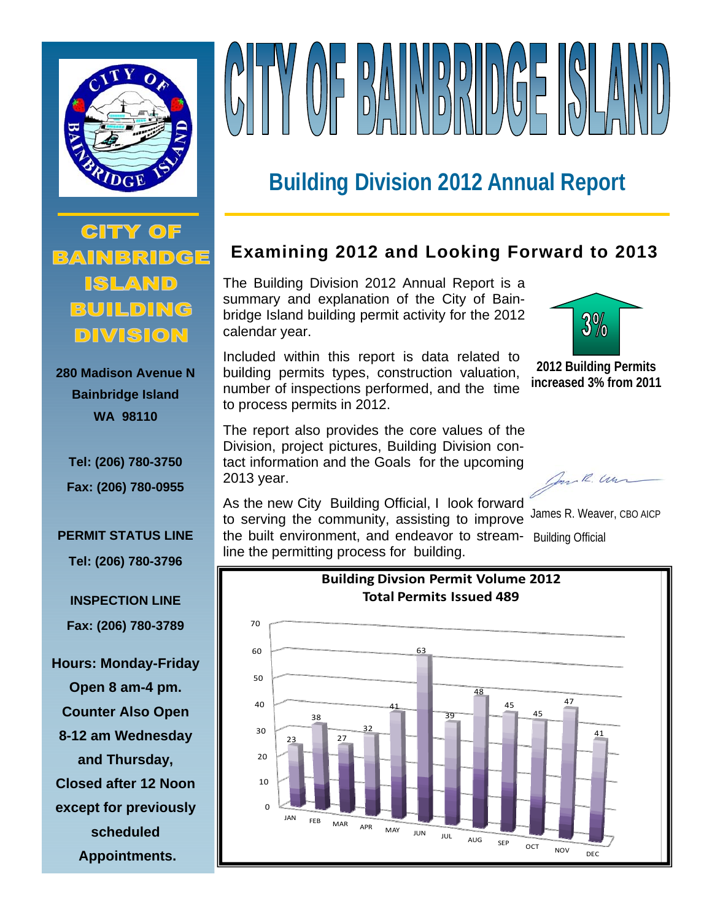



# **Building Division 2012 Annual Report**

**CITY OF** BAINBRIDGE **ISLAND** BUILDING DIVISION

**280 Madison Avenue N Bainbridge Island WA 98110** 

**Tel: (206) 780-3750 Fax: (206) 780-0955** 

#### **PERMIT STATUS LINE**

**Tel: (206) 780-3796** 

**INSPECTION LINE Fax: (206) 780-3789** 

**Hours: Monday-Friday Open 8 am-4 pm. Counter Also Open 8-12 am Wednesday and Thursday, Closed after 12 Noon except for previously scheduled Appointments.** 

# **Examining 2012 and Looking Forward to 2013**

The Building Division 2012 Annual Report is a summary and explanation of the City of Bainbridge Island building permit activity for the 2012 calendar year.

Included within this report is data related to building permits types, construction valuation, number of inspections performed, and the time to process permits in 2012.

The report also provides the core values of the Division, project pictures, Building Division contact information and the Goals for the upcoming 2013 year.



**2012 Building Permits increased 3% from 2011** 

Con R. Un

As the new City Building Official, I look forward to serving the community, assisting to improve the built environment, and endeavor to streamline the permitting process for building.

James R. Weaver, CBO AICP Building Official

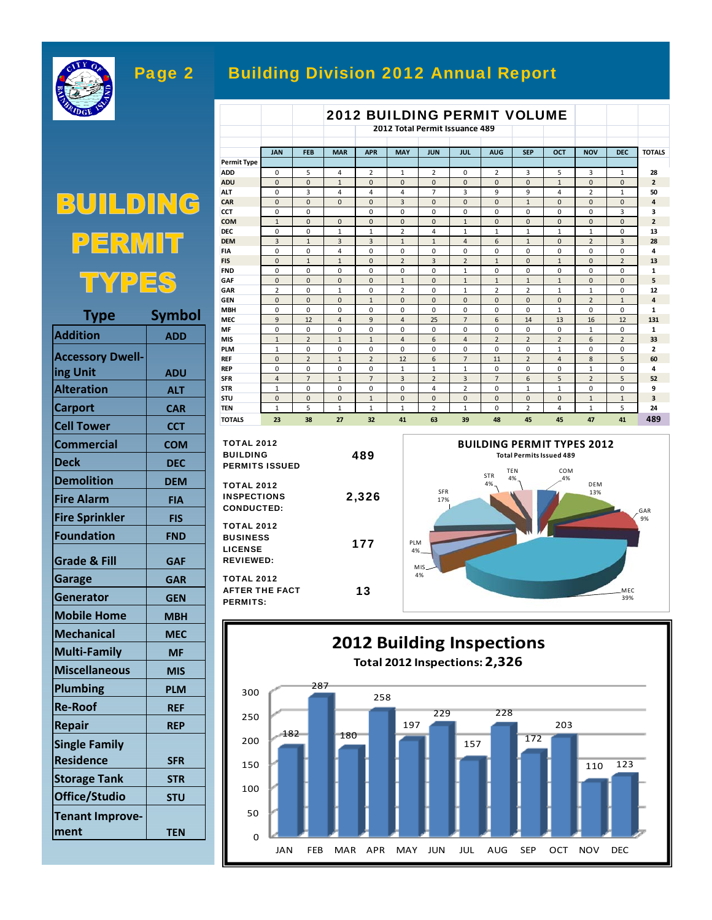

# Page 2 Building Division 2012 Annual Report

#### 2012 BUILDING PERMIT VOLUME **2012 Total Permit Issuance 489 JAN FEB MAR APR MAY JUN JUL AUG SEP OCT NOV DEC TOTALS Permit Type ADD** 054212023531 **28 ADU** 001000000100 **2 ALT** 034447399421 **50 CAR** 000030001000 **4 CCT** 00 000000003 **3 COM** 100000100000 **2 DEC** 00011241111111013 **DEM** 313311461023 **28 FIA** 004000000000 **4 FIS** | 0 | 1 | 1 | 0 | 2 | 3 | 2 | 1 | 0 | 1 | 0 | 2 | 13 **FND** 000000100000 **1 GAF** 000010111100 **5 GAR** 2 0 1 0 2 0 1 2 2 1 1 0 12 **GEN** 000100000021 **4 MBH** 0000000000001001 **MEC** 9 12 4 9 4 25 7 6 14 13 16 12 **131 MF** 0000000000000101 **MIS** 121146422262 **33 PLM** 100000000100 **2 REF** 0 2 1 2 12 6 7 11 2 4 8 5 60 **REP** 0000011111000010 **SFR** 4 7 1 7 3 2 3 7 6 5 2 5 **52 STR** 100004201100 **9 STU** 000100000011 **3 TEN** 151112102415 **24 TOTALS 23 38 27 32 41 63 39 48 45 45 47 41 489**

COM 4% DEM 13%

**BUILDING PERMIT TYPES 2012**

GAR 9%

MEC 39%

| <b>TOTAL 2012</b><br><b>BUILDING</b>                                                  | 489   | <b>BUILDING PERMIT TYPI</b><br><b>Total Permits Issued 489</b>          |  |  |
|---------------------------------------------------------------------------------------|-------|-------------------------------------------------------------------------|--|--|
| <b>PERMITS ISSUED</b><br><b>TOTAL 2012</b><br><b>INSPECTIONS</b><br><b>CONDUCTED:</b> | 2,326 | <b>TEN</b><br>COM<br><b>STR</b><br>4%<br>.4%<br>4%<br><b>SFR</b><br>17% |  |  |
| <b>TOTAL 2012</b><br><b>BUSINESS</b><br><b>LICENSE</b><br><b>REVIEWED:</b>            | 177   | PLM<br>4%<br>MIS                                                        |  |  |
| <b>TOTAL 2012</b><br><b>AFTER THE FACT</b><br><b>PERMITS:</b>                         | 13    | 4%                                                                      |  |  |



BUILDING  $R$ 티  $N$ TYPES

| Type                    | Symbol     |
|-------------------------|------------|
| <b>Addition</b>         | ADD        |
| <b>Accessory Dwell-</b> |            |
| ing Unit                | <b>ADU</b> |
| <b>Alteration</b>       | <b>ALT</b> |
| <b>Carport</b>          | <b>CAR</b> |
| <b>Cell Tower</b>       | <b>CCT</b> |
| <b>Commercial</b>       | <b>COM</b> |
| <b>Deck</b>             | DEC        |
| <b>Demolition</b>       | <b>DEM</b> |
| <b>Fire Alarm</b>       | <b>FIA</b> |
| <b>Fire Sprinkler</b>   | <b>FIS</b> |
| <b>Foundation</b>       | <b>FND</b> |
| <b>Grade &amp; Fill</b> | GAF        |
| Garage                  | <b>GAR</b> |
| <b>Generator</b>        | <b>GEN</b> |
| <b>Mobile Home</b>      | MBH        |
| <b>Mechanical</b>       | <b>MEC</b> |
| <b>Multi-Family</b>     | <b>MF</b>  |
| <b>Miscellaneous</b>    | <b>MIS</b> |
| <b>Plumbing</b>         | <b>PLM</b> |
| <b>Re-Roof</b>          | <b>REF</b> |
| <b>Repair</b>           | <b>REP</b> |
| <b>Single Family</b>    |            |
| <b>Residence</b>        | <b>SFR</b> |
| <b>Storage Tank</b>     | <b>STR</b> |
| Office/Studio           | <b>STU</b> |
| <b>Tenant Improve-</b>  |            |
| ment                    | TEN        |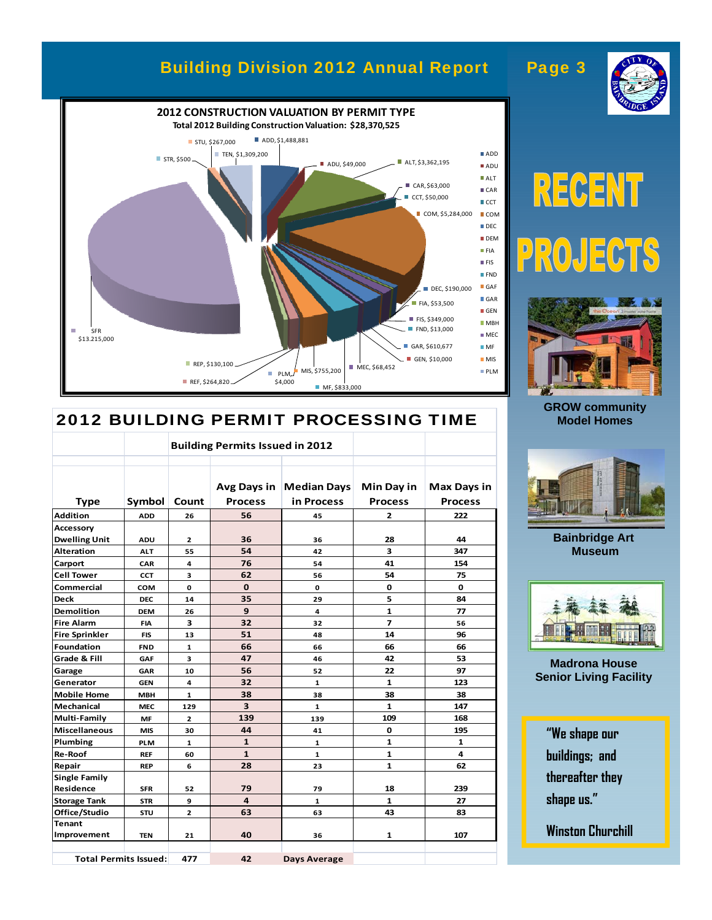# Building Division 2012 Annual Report Page 3



## 2012 BUILDING PERMIT PROCESSING TIME

|                      |                              | <b>Building Permits Issued in 2012</b> |                         |                    |                |                    |
|----------------------|------------------------------|----------------------------------------|-------------------------|--------------------|----------------|--------------------|
|                      |                              |                                        |                         |                    |                |                    |
|                      |                              |                                        | Avg Days in             | <b>Median Days</b> | Min Day in     | <b>Max Days in</b> |
| <b>Type</b>          | Symbol                       | Count                                  | <b>Process</b>          | in Process         | <b>Process</b> | <b>Process</b>     |
| <b>Addition</b>      | <b>ADD</b>                   | 26                                     | 56                      | 45                 | 2              | 222                |
| <b>Accessory</b>     |                              |                                        |                         |                    |                |                    |
| <b>Dwelling Unit</b> | <b>ADU</b>                   | $\mathbf{z}$                           | 36                      | 36                 | 28             | 44                 |
| <b>Alteration</b>    | <b>ALT</b>                   | 55                                     | 54                      | 42                 | 3              | 347                |
| Carport              | CAR                          | 4                                      | 76                      | 54                 | 41             | 154                |
| <b>Cell Tower</b>    | <b>CCT</b>                   | з                                      | 62                      | 56                 | 54             | 75                 |
| Commercial           | COM                          | 0                                      | $\mathbf 0$             | 0                  | $\mathbf 0$    | $\mathbf{o}$       |
| <b>Deck</b>          | <b>DEC</b>                   | 14                                     | 35                      | 29                 | 5              | 84                 |
| <b>Demolition</b>    | <b>DEM</b>                   | 26                                     | 9                       | 4                  | $\mathbf{1}$   | 77                 |
| <b>Fire Alarm</b>    | <b>FIA</b>                   | 3                                      | 32                      | 32                 | $\overline{7}$ | 56                 |
| Fire Sprinkler       | <b>FIS</b>                   | 13                                     | 51                      | 48                 | 14             | 96                 |
| Foundation           | <b>FND</b>                   | $\mathbf{1}$                           | 66                      | 66                 | 66             | 66                 |
| Grade & Fill         | GAF                          | 3                                      | 47                      | 46                 | 42             | 53                 |
| Garage               | <b>GAR</b>                   | 10                                     | 56                      | 52                 | 22             | 97                 |
| Generator            | <b>GEN</b>                   | 4                                      | 32                      | $\mathbf{1}$       | $\mathbf{1}$   | 123                |
| <b>Mobile Home</b>   | <b>MBH</b>                   | $\mathbf{1}$                           | 38                      | 38                 | 38             | 38                 |
| Mechanical           | <b>MEC</b>                   | 129                                    | $\overline{\mathbf{3}}$ | $\mathbf{1}$       | $\mathbf{1}$   | 147                |
| Multi-Family         | MF                           | $\overline{2}$                         | 139                     | 139                | 109            | 168                |
| Miscellaneous        | <b>MIS</b>                   | 30                                     | 44                      | 41                 | O              | 195                |
| Plumbing             | PLM                          | 1                                      | $\mathbf{1}$            | 1                  | 1              | 1                  |
| <b>Re-Roof</b>       | <b>REF</b>                   | 60                                     | $\mathbf{1}$            | $\mathbf{1}$       | $\mathbf{1}$   | 4                  |
| Repair               | <b>REP</b>                   | 6                                      | 28                      | 23                 | $\mathbf{1}$   | 62                 |
| <b>Single Family</b> |                              |                                        |                         |                    |                |                    |
| Residence            | <b>SFR</b>                   | 52                                     | 79                      | 79                 | 18             | 239                |
| <b>Storage Tank</b>  | <b>STR</b>                   | 9                                      | 4                       | $\mathbf{1}$       | $\mathbf{1}$   | 27                 |
| Office/Studio        | STU                          | $\mathbf{z}$                           | 63                      | 63                 | 43             | 83                 |
| Tenant               |                              |                                        |                         |                    |                |                    |
| Improvement          | <b>TEN</b>                   | 21                                     | 40                      | 36                 | 1              | 107                |
|                      | <b>Total Permits Issued:</b> | 477                                    | 42                      | Days Average       |                |                    |

# RECENT  $\sqrt{p}$  $\overline{R}$  $E($  $\frac{1}{2}$



**GROW community Model Homes** 



**Bainbridge Art Museum** 



**Madrona House Senior Living Facility** 

**"We shape our buildings; and thereafter they shape us."** 

**Winston Churchill**